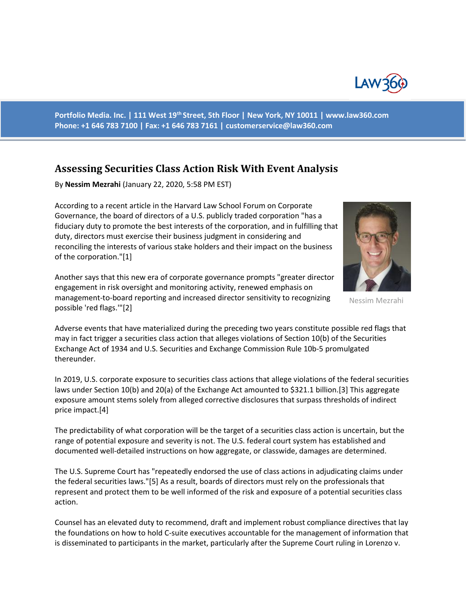

**Portfolio Media. Inc. | 111 West 19th Street, 5th Floor | New York, NY 10011 | www.law360.com Phone: +1 646 783 7100 | Fax: +1 646 783 7161 | customerservice@law360.com**

## **Assessing Securities Class Action Risk With Event Analysis**

By **Nessim Mezrahi** (January 22, 2020, 5:58 PM EST)

According to a recent article in the Harvard Law School Forum on Corporate Governance, the board of directors of a U.S. publicly traded corporation "has a fiduciary duty to promote the best interests of the corporation, and in fulfilling that duty, directors must exercise their business judgment in considering and reconciling the interests of various stake holders and their impact on the business of the corporation."[1]

Another says that this new era of corporate governance prompts "greater director engagement in risk oversight and monitoring activity, renewed emphasis on management-to-board reporting and increased director sensitivity to recognizing possible 'red flags.'"[2]



Nessim Mezrahi

Adverse events that have materialized during the preceding two years constitute possible red flags that may in fact trigger a securities class action that alleges violations of Section 10(b) of the Securities Exchange Act of 1934 and U.S. Securities and Exchange Commission Rule 10b-5 promulgated thereunder.

In 2019, U.S. corporate exposure to securities class actions that allege violations of the federal securities laws under Section 10(b) and 20(a) of the Exchange Act amounted to \$321.1 billion.[3] This aggregate exposure amount stems solely from alleged corrective disclosures that surpass thresholds of indirect price impact.[4]

The predictability of what corporation will be the target of a securities class action is uncertain, but the range of potential exposure and severity is not. The U.S. federal court system has established and documented well-detailed instructions on how aggregate, or classwide, damages are determined.

The U.S. Supreme Court has "repeatedly endorsed the use of class actions in adjudicating claims under the federal securities laws."[5] As a result, boards of directors must rely on the professionals that represent and protect them to be well informed of the risk and exposure of a potential securities class action.

Counsel has an elevated duty to recommend, draft and implement robust compliance directives that lay the foundations on how to hold C-suite executives accountable for the management of information that is disseminated to participants in the market, particularly after the Supreme Court ruling in Lorenzo v.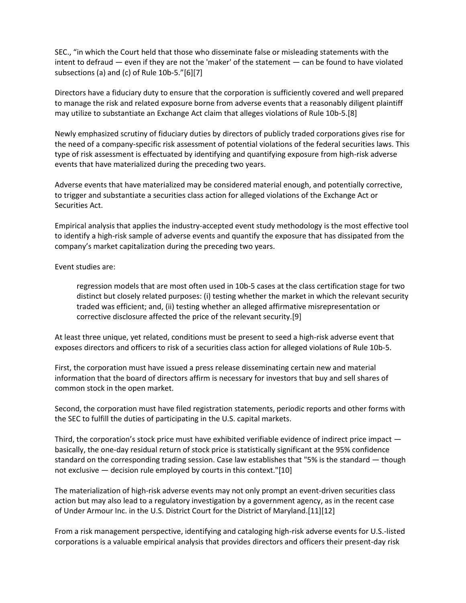SEC., "in which the Court held that those who disseminate false or misleading statements with the intent to defraud — even if they are not the 'maker' of the statement — can be found to have violated subsections (a) and (c) of Rule 10b-5."[6][7]

Directors have a fiduciary duty to ensure that the corporation is sufficiently covered and well prepared to manage the risk and related exposure borne from adverse events that a reasonably diligent plaintiff may utilize to substantiate an Exchange Act claim that alleges violations of Rule 10b-5.[8]

Newly emphasized scrutiny of fiduciary duties by directors of publicly traded corporations gives rise for the need of a company-specific risk assessment of potential violations of the federal securities laws. This type of risk assessment is effectuated by identifying and quantifying exposure from high-risk adverse events that have materialized during the preceding two years.

Adverse events that have materialized may be considered material enough, and potentially corrective, to trigger and substantiate a securities class action for alleged violations of the Exchange Act or Securities Act.

Empirical analysis that applies the industry-accepted event study methodology is the most effective tool to identify a high-risk sample of adverse events and quantify the exposure that has dissipated from the company's market capitalization during the preceding two years.

Event studies are:

regression models that are most often used in 10b-5 cases at the class certification stage for two distinct but closely related purposes: (i) testing whether the market in which the relevant security traded was efficient; and, (ii) testing whether an alleged affirmative misrepresentation or corrective disclosure affected the price of the relevant security.[9]

At least three unique, yet related, conditions must be present to seed a high-risk adverse event that exposes directors and officers to risk of a securities class action for alleged violations of Rule 10b-5.

First, the corporation must have issued a press release disseminating certain new and material information that the board of directors affirm is necessary for investors that buy and sell shares of common stock in the open market.

Second, the corporation must have filed registration statements, periodic reports and other forms with the SEC to fulfill the duties of participating in the U.S. capital markets.

Third, the corporation's stock price must have exhibited verifiable evidence of indirect price impact basically, the one-day residual return of stock price is statistically significant at the 95% confidence standard on the corresponding trading session. Case law establishes that "5% is the standard — though not exclusive — decision rule employed by courts in this context."[10]

The materialization of high-risk adverse events may not only prompt an event-driven securities class action but may also lead to a regulatory investigation by a government agency, as in the recent case of Under Armour Inc. in the U.S. District Court for the District of Maryland.[11][12]

From a risk management perspective, identifying and cataloging high-risk adverse events for U.S.-listed corporations is a valuable empirical analysis that provides directors and officers their present-day risk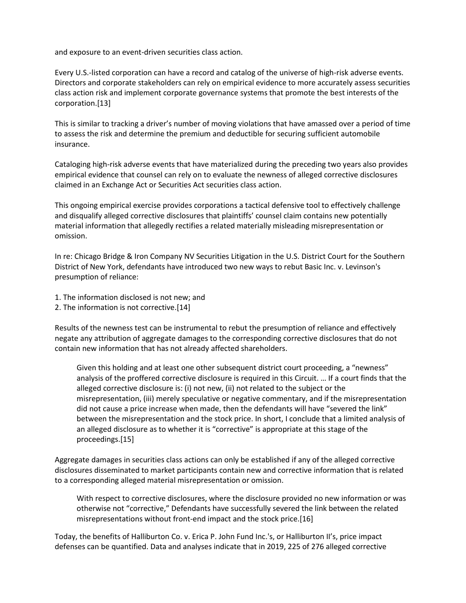and exposure to an event-driven securities class action.

Every U.S.-listed corporation can have a record and catalog of the universe of high-risk adverse events. Directors and corporate stakeholders can rely on empirical evidence to more accurately assess securities class action risk and implement corporate governance systems that promote the best interests of the corporation.[13]

This is similar to tracking a driver's number of moving violations that have amassed over a period of time to assess the risk and determine the premium and deductible for securing sufficient automobile insurance.

Cataloging high-risk adverse events that have materialized during the preceding two years also provides empirical evidence that counsel can rely on to evaluate the newness of alleged corrective disclosures claimed in an Exchange Act or Securities Act securities class action.

This ongoing empirical exercise provides corporations a tactical defensive tool to effectively challenge and disqualify alleged corrective disclosures that plaintiffs' counsel claim contains new potentially material information that allegedly rectifies a related materially misleading misrepresentation or omission.

In re: Chicago Bridge & Iron Company NV Securities Litigation in the U.S. District Court for the Southern District of New York, defendants have introduced two new ways to rebut Basic Inc. v. Levinson's presumption of reliance:

- 1. The information disclosed is not new; and
- 2. The information is not corrective.[14]

Results of the newness test can be instrumental to rebut the presumption of reliance and effectively negate any attribution of aggregate damages to the corresponding corrective disclosures that do not contain new information that has not already affected shareholders.

Given this holding and at least one other subsequent district court proceeding, a "newness" analysis of the proffered corrective disclosure is required in this Circuit. … If a court finds that the alleged corrective disclosure is: (i) not new, (ii) not related to the subject or the misrepresentation, (iii) merely speculative or negative commentary, and if the misrepresentation did not cause a price increase when made, then the defendants will have "severed the link" between the misrepresentation and the stock price. In short, I conclude that a limited analysis of an alleged disclosure as to whether it is "corrective" is appropriate at this stage of the proceedings.[15]

Aggregate damages in securities class actions can only be established if any of the alleged corrective disclosures disseminated to market participants contain new and corrective information that is related to a corresponding alleged material misrepresentation or omission.

With respect to corrective disclosures, where the disclosure provided no new information or was otherwise not "corrective," Defendants have successfully severed the link between the related misrepresentations without front-end impact and the stock price.[16]

Today, the benefits of Halliburton Co. v. Erica P. John Fund Inc.'s, or Halliburton II's, price impact defenses can be quantified. Data and analyses indicate that in 2019, 225 of 276 alleged corrective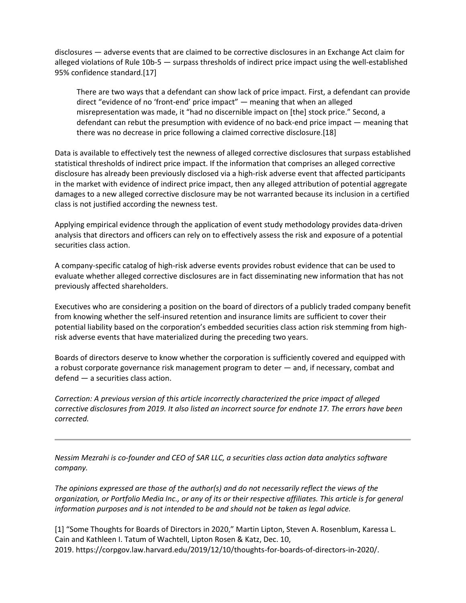disclosures — adverse events that are claimed to be corrective disclosures in an Exchange Act claim for alleged violations of Rule 10b-5 — surpass thresholds of indirect price impact using the well-established 95% confidence standard.[17]

There are two ways that a defendant can show lack of price impact. First, a defendant can provide direct "evidence of no 'front-end' price impact" — meaning that when an alleged misrepresentation was made, it "had no discernible impact on [the] stock price." Second, a defendant can rebut the presumption with evidence of no back-end price impact — meaning that there was no decrease in price following a claimed corrective disclosure.[18]

Data is available to effectively test the newness of alleged corrective disclosures that surpass established statistical thresholds of indirect price impact. If the information that comprises an alleged corrective disclosure has already been previously disclosed via a high-risk adverse event that affected participants in the market with evidence of indirect price impact, then any alleged attribution of potential aggregate damages to a new alleged corrective disclosure may be not warranted because its inclusion in a certified class is not justified according the newness test.

Applying empirical evidence through the application of event study methodology provides data-driven analysis that directors and officers can rely on to effectively assess the risk and exposure of a potential securities class action.

A company-specific catalog of high-risk adverse events provides robust evidence that can be used to evaluate whether alleged corrective disclosures are in fact disseminating new information that has not previously affected shareholders.

Executives who are considering a position on the board of directors of a publicly traded company benefit from knowing whether the self-insured retention and insurance limits are sufficient to cover their potential liability based on the corporation's embedded securities class action risk stemming from highrisk adverse events that have materialized during the preceding two years.

Boards of directors deserve to know whether the corporation is sufficiently covered and equipped with a robust corporate governance risk management program to deter — and, if necessary, combat and defend — a securities class action.

*Correction: A previous version of this article incorrectly characterized the price impact of alleged corrective disclosures from 2019. It also listed an incorrect source for endnote 17. The errors have been corrected.*

*Nessim Mezrahi is co-founder and CEO of SAR LLC, a securities class action data analytics software company.*

*The opinions expressed are those of the author(s) and do not necessarily reflect the views of the organization, or Portfolio Media Inc., or any of its or their respective affiliates. This article is for general information purposes and is not intended to be and should not be taken as legal advice.*

[1] "Some Thoughts for Boards of Directors in 2020," Martin Lipton, Steven A. Rosenblum, Karessa L. Cain and Kathleen I. Tatum of Wachtell, Lipton Rosen & Katz, Dec. 10, 2019. https://corpgov.law.harvard.edu/2019/12/10/thoughts-for-boards-of-directors-in-2020/.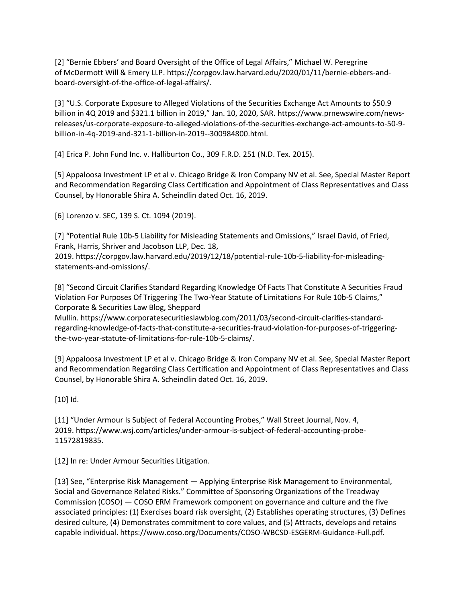[2] "Bernie Ebbers' and Board Oversight of the Office of Legal Affairs," Michael W. Peregrine of McDermott Will & Emery LLP. https://corpgov.law.harvard.edu/2020/01/11/bernie-ebbers-andboard-oversight-of-the-office-of-legal-affairs/.

[3] "U.S. Corporate Exposure to Alleged Violations of the Securities Exchange Act Amounts to \$50.9 billion in 4Q 2019 and \$321.1 billion in 2019," Jan. 10, 2020, SAR. https://www.prnewswire.com/newsreleases/us-corporate-exposure-to-alleged-violations-of-the-securities-exchange-act-amounts-to-50-9 billion-in-4q-2019-and-321-1-billion-in-2019--300984800.html.

[4] Erica P. John Fund Inc. v. Halliburton Co., 309 F.R.D. 251 (N.D. Tex. 2015).

[5] Appaloosa Investment LP et al v. Chicago Bridge & Iron Company NV et al. See, Special Master Report and Recommendation Regarding Class Certification and Appointment of Class Representatives and Class Counsel, by Honorable Shira A. Scheindlin dated Oct. 16, 2019.

[6] Lorenzo v. SEC, 139 S. Ct. 1094 (2019).

[7] "Potential Rule 10b-5 Liability for Misleading Statements and Omissions," Israel David, of Fried, Frank, Harris, Shriver and Jacobson LLP, Dec. 18,

2019. https://corpgov.law.harvard.edu/2019/12/18/potential-rule-10b-5-liability-for-misleadingstatements-and-omissions/.

[8] "Second Circuit Clarifies Standard Regarding Knowledge Of Facts That Constitute A Securities Fraud Violation For Purposes Of Triggering The Two-Year Statute of Limitations For Rule 10b-5 Claims," Corporate & Securities Law Blog, Sheppard

Mullin. https://www.corporatesecuritieslawblog.com/2011/03/second-circuit-clarifies-standardregarding-knowledge-of-facts-that-constitute-a-securities-fraud-violation-for-purposes-of-triggeringthe-two-year-statute-of-limitations-for-rule-10b-5-claims/.

[9] Appaloosa Investment LP et al v. Chicago Bridge & Iron Company NV et al. See, Special Master Report and Recommendation Regarding Class Certification and Appointment of Class Representatives and Class Counsel, by Honorable Shira A. Scheindlin dated Oct. 16, 2019.

[10] Id.

[11] "Under Armour Is Subject of Federal Accounting Probes," Wall Street Journal, Nov. 4, 2019. https://www.wsj.com/articles/under-armour-is-subject-of-federal-accounting-probe-11572819835.

[12] In re: Under Armour Securities Litigation.

[13] See, "Enterprise Risk Management — Applying Enterprise Risk Management to Environmental, Social and Governance Related Risks." Committee of Sponsoring Organizations of the Treadway Commission (COSO) — COSO ERM Framework component on governance and culture and the five associated principles: (1) Exercises board risk oversight, (2) Establishes operating structures, (3) Defines desired culture, (4) Demonstrates commitment to core values, and (5) Attracts, develops and retains capable individual. https://www.coso.org/Documents/COSO-WBCSD-ESGERM-Guidance-Full.pdf.